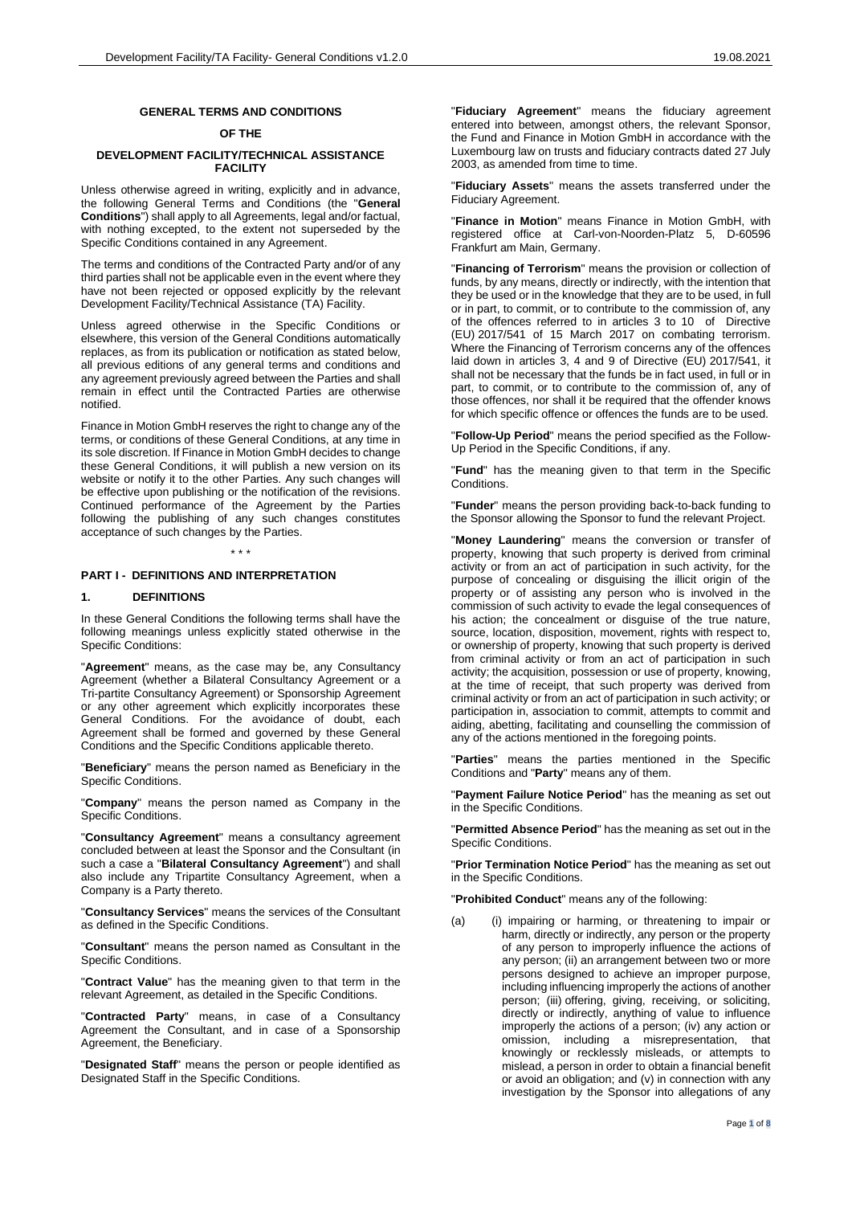### **GENERAL TERMS AND CONDITIONS**

# **OF THE**

### **DEVELOPMENT FACILITY/TECHNICAL ASSISTANCE FACILITY**

Unless otherwise agreed in writing, explicitly and in advance, the following General Terms and Conditions (the "**General Conditions**") shall apply to all Agreements, legal and/or factual, with nothing excepted, to the extent not superseded by the Specific Conditions contained in any Agreement.

The terms and conditions of the Contracted Party and/or of any third parties shall not be applicable even in the event where they have not been rejected or opposed explicitly by the relevant Development Facility/Technical Assistance (TA) Facility.

Unless agreed otherwise in the Specific Conditions or elsewhere, this version of the General Conditions automatically replaces, as from its publication or notification as stated below, all previous editions of any general terms and conditions and any agreement previously agreed between the Parties and shall remain in effect until the Contracted Parties are otherwise notified.

Finance in Motion GmbH reserves the right to change any of the terms, or conditions of these General Conditions, at any time in its sole discretion. If Finance in Motion GmbH decides to change these General Conditions, it will publish a new version on its website or notify it to the other Parties. Any such changes will be effective upon publishing or the notification of the revisions. Continued performance of the Agreement by the Parties following the publishing of any such changes constitutes acceptance of such changes by the Parties.

# **PART I - DEFINITIONS AND INTERPRETATION**

#### **1. DEFINITIONS**

In these General Conditions the following terms shall have the following meanings unless explicitly stated otherwise in the Specific Conditions:

\* \* \*

"**Agreement**" means, as the case may be, any Consultancy Agreement (whether a Bilateral Consultancy Agreement or a Tri-partite Consultancy Agreement) or Sponsorship Agreement or any other agreement which explicitly incorporates these General Conditions. For the avoidance of doubt, each Agreement shall be formed and governed by these General Conditions and the Specific Conditions applicable thereto.

"**Beneficiary**" means the person named as Beneficiary in the Specific Conditions.

"**Company**" means the person named as Company in the Specific Conditions.

"**Consultancy Agreement**" means a consultancy agreement concluded between at least the Sponsor and the Consultant (in such a case a "**Bilateral Consultancy Agreement**") and shall also include any Tripartite Consultancy Agreement, when a Company is a Party thereto.

"**Consultancy Services**" means the services of the Consultant as defined in the Specific Conditions.

"**Consultant**" means the person named as Consultant in the Specific Conditions.

"**Contract Value**" has the meaning given to that term in the relevant Agreement, as detailed in the Specific Conditions.

"**Contracted Party**" means, in case of a Consultancy Agreement the Consultant, and in case of a Sponsorship Agreement, the Beneficiary.

"**Designated Staff**" means the person or people identified as Designated Staff in the Specific Conditions.

"**Fiduciary Agreement**" means the fiduciary agreement entered into between, amongst others, the relevant Sponsor, the Fund and Finance in Motion GmbH in accordance with the Luxembourg law on trusts and fiduciary contracts dated 27 July 2003, as amended from time to time.

"**Fiduciary Assets**" means the assets transferred under the Fiduciary Agreement.

"**Finance in Motion**" means Finance in Motion GmbH, with registered office at Carl-von-Noorden-Platz 5, D-60596 Frankfurt am Main, Germany.

"**Financing of Terrorism**" means the provision or collection of funds, by any means, directly or indirectly, with the intention that they be used or in the knowledge that they are to be used, in full or in part, to commit, or to contribute to the commission of, any of the offences referred to in articles 3 to 10 of Directive (EU) 2017/541 of 15 March 2017 on combating terrorism. Where the Financing of Terrorism concerns any of the offences laid down in articles 3, 4 and 9 of Directive (EU) 2017/541, it shall not be necessary that the funds be in fact used, in full or in part, to commit, or to contribute to the commission of, any of those offences, nor shall it be required that the offender knows for which specific offence or offences the funds are to be used.

"**Follow-Up Period**" means the period specified as the Follow-Up Period in the Specific Conditions, if any.

"**Fund**" has the meaning given to that term in the Specific Conditions.

"**Funder**" means the person providing back-to-back funding to the Sponsor allowing the Sponsor to fund the relevant Project.

"**Money Laundering**" means the conversion or transfer of property, knowing that such property is derived from criminal activity or from an act of participation in such activity, for the purpose of concealing or disguising the illicit origin of the property or of assisting any person who is involved in the commission of such activity to evade the legal consequences of his action; the concealment or disguise of the true nature, source, location, disposition, movement, rights with respect to, or ownership of property, knowing that such property is derived from criminal activity or from an act of participation in such activity; the acquisition, possession or use of property, knowing, at the time of receipt, that such property was derived from criminal activity or from an act of participation in such activity; or participation in, association to commit, attempts to commit and aiding, abetting, facilitating and counselling the commission of any of the actions mentioned in the foregoing points.

"**Parties**" means the parties mentioned in the Specific Conditions and "**Party**" means any of them.

"**Payment Failure Notice Period**" has the meaning as set out in the Specific Conditions.

"**Permitted Absence Period**" has the meaning as set out in the Specific Conditions.

"**Prior Termination Notice Period**" has the meaning as set out in the Specific Conditions.

"**Prohibited Conduct**" means any of the following:

(a) (i) impairing or harming, or threatening to impair or harm, directly or indirectly, any person or the property of any person to improperly influence the actions of any person; (ii) an arrangement between two or more persons designed to achieve an improper purpose, including influencing improperly the actions of another person; (iii) offering, giving, receiving, or soliciting, directly or indirectly, anything of value to influence improperly the actions of a person; (iv) any action or omission, including a misrepresentation, that knowingly or recklessly misleads, or attempts to mislead, a person in order to obtain a financial benefit or avoid an obligation; and (v) in connection with any investigation by the Sponsor into allegations of any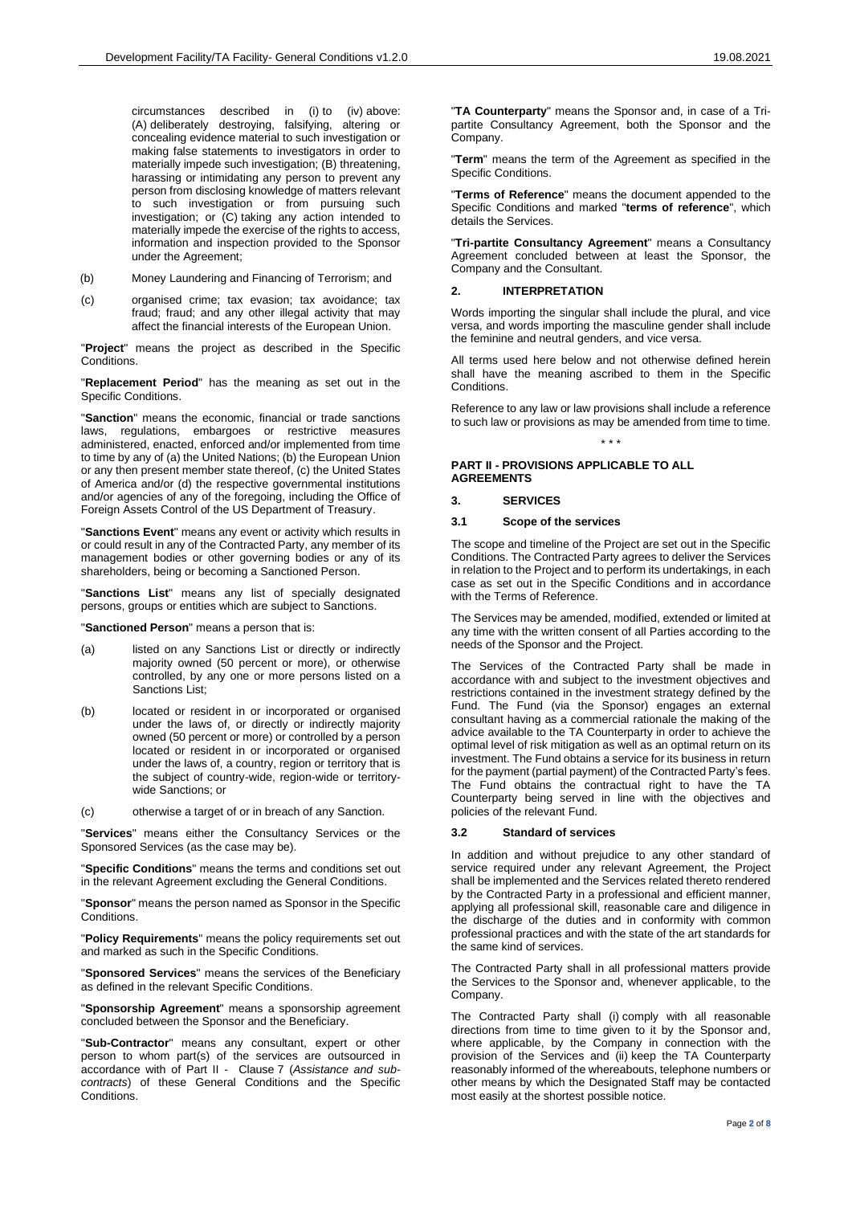circumstances described in (i) to (iv) above: (A) deliberately destroying, falsifying, altering or concealing evidence material to such investigation or making false statements to investigators in order to materially impede such investigation; (B) threatening, harassing or intimidating any person to prevent any person from disclosing knowledge of matters relevant to such investigation or from pursuing such investigation; or (C) taking any action intended to materially impede the exercise of the rights to access, information and inspection provided to the Sponsor under the Agreement;

- (b) Money Laundering and Financing of Terrorism; and
- (c) organised crime; tax evasion; tax avoidance; tax fraud; fraud; and any other illegal activity that may affect the financial interests of the European Union.

"**Project**" means the project as described in the Specific Conditions.

"**Replacement Period**" has the meaning as set out in the Specific Conditions.

"**Sanction**" means the economic, financial or trade sanctions laws, regulations, embargoes or restrictive measures administered, enacted, enforced and/or implemented from time to time by any of (a) the United Nations; (b) the European Union or any then present member state thereof, (c) the United States of America and/or (d) the respective governmental institutions and/or agencies of any of the foregoing, including the Office of Foreign Assets Control of the US Department of Treasury.

"**Sanctions Event**" means any event or activity which results in or could result in any of the Contracted Party, any member of its management bodies or other governing bodies or any of its shareholders, being or becoming a Sanctioned Person.

"**Sanctions List**" means any list of specially designated persons, groups or entities which are subject to Sanctions.

"**Sanctioned Person**" means a person that is:

- (a) listed on any Sanctions List or directly or indirectly majority owned (50 percent or more), or otherwise controlled, by any one or more persons listed on a Sanctions List;
- (b) located or resident in or incorporated or organised under the laws of, or directly or indirectly majority owned (50 percent or more) or controlled by a person located or resident in or incorporated or organised under the laws of, a country, region or territory that is the subject of country-wide, region-wide or territorywide Sanctions; or
- (c) otherwise a target of or in breach of any Sanction.

"**Services**" means either the Consultancy Services or the Sponsored Services (as the case may be).

"**Specific Conditions**" means the terms and conditions set out in the relevant Agreement excluding the General Conditions.

"**Sponsor**" means the person named as Sponsor in the Specific Conditions.

"**Policy Requirements**" means the policy requirements set out and marked as such in the Specific Conditions.

"**Sponsored Services**" means the services of the Beneficiary as defined in the relevant Specific Conditions.

"**Sponsorship Agreement**" means a sponsorship agreement concluded between the Sponsor and the Beneficiary.

"**Sub-Contractor**" means any consultant, expert or other person to whom part(s) of the services are outsourced in accordance with of [Part II -](#page-1-0) Clause [7](#page-3-0) (*Assistance and subcontracts*) of these General Conditions and the Specific Conditions.

"**TA Counterparty**" means the Sponsor and, in case of a Tripartite Consultancy Agreement, both the Sponsor and the .<br>Company.

"**Term**" means the term of the Agreement as specified in the Specific Conditions.

"**Terms of Reference**" means the document appended to the Specific Conditions and marked "**terms of reference**", which details the Services.

"**Tri-partite Consultancy Agreement**" means a Consultancy Agreement concluded between at least the Sponsor, the Company and the Consultant.

# **2. INTERPRETATION**

Words importing the singular shall include the plural, and vice versa, and words importing the masculine gender shall include the feminine and neutral genders, and vice versa.

All terms used here below and not otherwise defined herein shall have the meaning ascribed to them in the Specific Conditions.

Reference to any law or law provisions shall include a reference to such law or provisions as may be amended from time to time. \* \* \*

# <span id="page-1-0"></span>**PART II - PROVISIONS APPLICABLE TO ALL AGREEMENTS**

**3. SERVICES**

#### **3.1 Scope of the services**

The scope and timeline of the Project are set out in the Specific Conditions. The Contracted Party agrees to deliver the Services in relation to the Project and to perform its undertakings, in each case as set out in the Specific Conditions and in accordance with the Terms of Reference.

The Services may be amended, modified, extended or limited at any time with the written consent of all Parties according to the needs of the Sponsor and the Project.

The Services of the Contracted Party shall be made in accordance with and subject to the investment objectives and restrictions contained in the investment strategy defined by the Fund. The Fund (via the Sponsor) engages an external consultant having as a commercial rationale the making of the advice available to the TA Counterparty in order to achieve the optimal level of risk mitigation as well as an optimal return on its investment. The Fund obtains a service for its business in return for the payment (partial payment) of the Contracted Party's fees. The Fund obtains the contractual right to have the TA Counterparty being served in line with the objectives and policies of the relevant Fund.

#### **3.2 Standard of services**

In addition and without prejudice to any other standard of service required under any relevant Agreement, the Project shall be implemented and the Services related thereto rendered by the Contracted Party in a professional and efficient manner, applying all professional skill, reasonable care and diligence in the discharge of the duties and in conformity with common professional practices and with the state of the art standards for the same kind of services.

The Contracted Party shall in all professional matters provide the Services to the Sponsor and, whenever applicable, to the Company.

The Contracted Party shall (i) comply with all reasonable directions from time to time given to it by the Sponsor and, where applicable, by the Company in connection with the provision of the Services and (ii) keep the TA Counterparty reasonably informed of the whereabouts, telephone numbers or other means by which the Designated Staff may be contacted most easily at the shortest possible notice.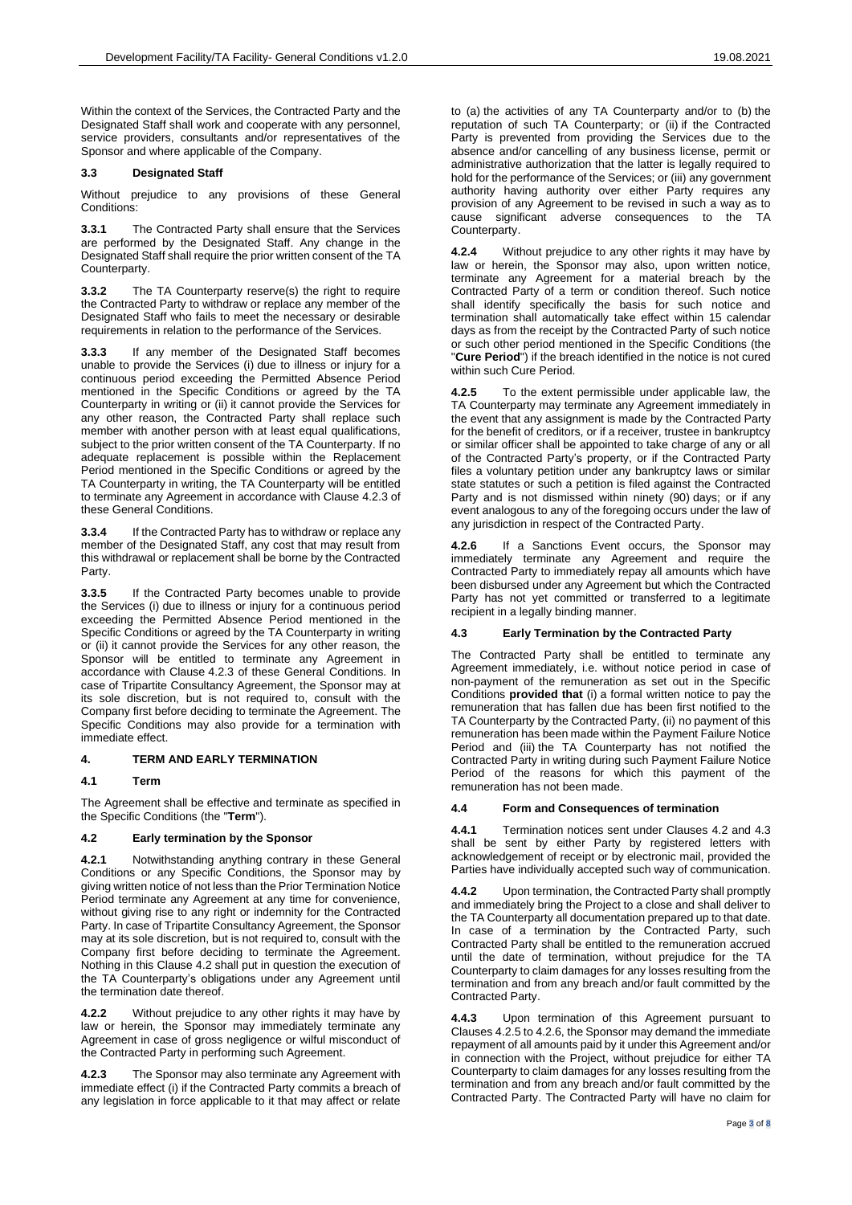Within the context of the Services, the Contracted Party and the Designated Staff shall work and cooperate with any personnel, service providers, consultants and/or representatives of the Sponsor and where applicable of the Company.

# <span id="page-2-6"></span>**3.3 Designated Staff**

Without prejudice to any provisions of these General **Conditions** 

**3.3.1** The Contracted Party shall ensure that the Services are performed by the Designated Staff. Any change in the Designated Staff shall require the prior written consent of the TA Counterparty.

**3.3.2** The TA Counterparty reserve(s) the right to require the Contracted Party to withdraw or replace any member of the Designated Staff who fails to meet the necessary or desirable requirements in relation to the performance of the Services.

**3.3.3** If any member of the Designated Staff becomes unable to provide the Services (i) due to illness or injury for a continuous period exceeding the Permitted Absence Period mentioned in the Specific Conditions or agreed by the TA Counterparty in writing or (ii) it cannot provide the Services for any other reason, the Contracted Party shall replace such member with another person with at least equal qualifications, subject to the prior written consent of the TA Counterparty. If no adequate replacement is possible within the Replacement Period mentioned in the Specific Conditions or agreed by the TA Counterparty in writing, the TA Counterparty will be entitled to terminate any Agreement in accordance with Clause [4.2.3](#page-2-0) of these General Conditions.

**3.3.4** If the Contracted Party has to withdraw or replace any member of the Designated Staff, any cost that may result from this withdrawal or replacement shall be borne by the Contracted Party.

**3.3.5** If the Contracted Party becomes unable to provide the Services (i) due to illness or injury for a continuous period exceeding the Permitted Absence Period mentioned in the Specific Conditions or agreed by the TA Counterparty in writing or (ii) it cannot provide the Services for any other reason, the Sponsor will be entitled to terminate any Agreement in accordance with Clause [4.2.3](#page-2-0) of these General Conditions. In case of Tripartite Consultancy Agreement, the Sponsor may at its sole discretion, but is not required to, consult with the Company first before deciding to terminate the Agreement. The Specific Conditions may also provide for a termination with immediate effect.

## **4. TERM AND EARLY TERMINATION**

### **4.1 Term**

The Agreement shall be effective and terminate as specified in the Specific Conditions (the "**Term**").

### <span id="page-2-1"></span>**4.2 Early termination by the Sponsor**

**4.2.1** Notwithstanding anything contrary in these General Conditions or any Specific Conditions, the Sponsor may by giving written notice of not less than the Prior Termination Notice Period terminate any Agreement at any time for convenience, without giving rise to any right or indemnity for the Contracted Party. In case of Tripartite Consultancy Agreement, the Sponsor may at its sole discretion, but is not required to, consult with the Company first before deciding to terminate the Agreement. Nothing in this Clause [4.2](#page-2-1) shall put in question the execution of the TA Counterparty's obligations under any Agreement until the termination date thereof.

**4.2.2** Without prejudice to any other rights it may have by law or herein, the Sponsor may immediately terminate any Agreement in case of gross negligence or wilful misconduct of the Contracted Party in performing such Agreement.

<span id="page-2-0"></span>**4.2.3** The Sponsor may also terminate any Agreement with immediate effect (i) if the Contracted Party commits a breach of any legislation in force applicable to it that may affect or relate

to (a) the activities of any TA Counterparty and/or to (b) the reputation of such TA Counterparty; or (ii) if the Contracted Party is prevented from providing the Services due to the absence and/or cancelling of any business license, permit or administrative authorization that the latter is legally required to hold for the performance of the Services; or (iii) any government authority having authority over either Party requires any provision of any Agreement to be revised in such a way as to cause significant adverse consequences to the TA Counterparty.

**4.2.4** Without prejudice to any other rights it may have by law or herein, the Sponsor may also, upon written notice, terminate any Agreement for a material breach by the Contracted Party of a term or condition thereof. Such notice shall identify specifically the basis for such notice and termination shall automatically take effect within 15 calendar days as from the receipt by the Contracted Party of such notice or such other period mentioned in the Specific Conditions (the "**Cure Period**") if the breach identified in the notice is not cured within such Cure Period.

<span id="page-2-3"></span>**4.2.5** To the extent permissible under applicable law, the TA Counterparty may terminate any Agreement immediately in the event that any assignment is made by the Contracted Party for the benefit of creditors, or if a receiver, trustee in bankruptcy or similar officer shall be appointed to take charge of any or all of the Contracted Party's property, or if the Contracted Party files a voluntary petition under any bankruptcy laws or similar state statutes or such a petition is filed against the Contracted Party and is not dismissed within ninety (90) days; or if any event analogous to any of the foregoing occurs under the law of any jurisdiction in respect of the Contracted Party.

<span id="page-2-4"></span>If a Sanctions Event occurs, the Sponsor may immediately terminate any Agreement and require the Contracted Party to immediately repay all amounts which have been disbursed under any Agreement but which the Contracted Party has not yet committed or transferred to a legitimate recipient in a legally binding manner.

### <span id="page-2-2"></span>**4.3 Early Termination by the Contracted Party**

The Contracted Party shall be entitled to terminate any Agreement immediately, i.e. without notice period in case of non-payment of the remuneration as set out in the Specific Conditions **provided that** (i) a formal written notice to pay the remuneration that has fallen due has been first notified to the TA Counterparty by the Contracted Party, (ii) no payment of this remuneration has been made within the Payment Failure Notice Period and (iii) the TA Counterparty has not notified the Contracted Party in writing during such Payment Failure Notice Period of the reasons for which this payment of the remuneration has not been made.

# **4.4 Form and Consequences of termination**

**4.4.1** Termination notices sent under Clauses [4.2](#page-2-1) and [4.3](#page-2-2) shall be sent by either Party by registered letters with acknowledgement of receipt or by electronic mail, provided the Parties have individually accepted such way of communication.

<span id="page-2-5"></span>**4.4.2** Upon termination, the Contracted Party shall promptly and immediately bring the Project to a close and shall deliver to the TA Counterparty all documentation prepared up to that date. In case of a termination by the Contracted Party, such Contracted Party shall be entitled to the remuneration accrued until the date of termination, without prejudice for the TA Counterparty to claim damages for any losses resulting from the termination and from any breach and/or fault committed by the Contracted Party.

**4.4.3** Upon termination of this Agreement pursuant to Clause[s 4.2.5](#page-2-3) t[o 4.2.6,](#page-2-4) the Sponsor may demand the immediate repayment of all amounts paid by it under this Agreement and/or in connection with the Project, without prejudice for either TA Counterparty to claim damages for any losses resulting from the termination and from any breach and/or fault committed by the Contracted Party. The Contracted Party will have no claim for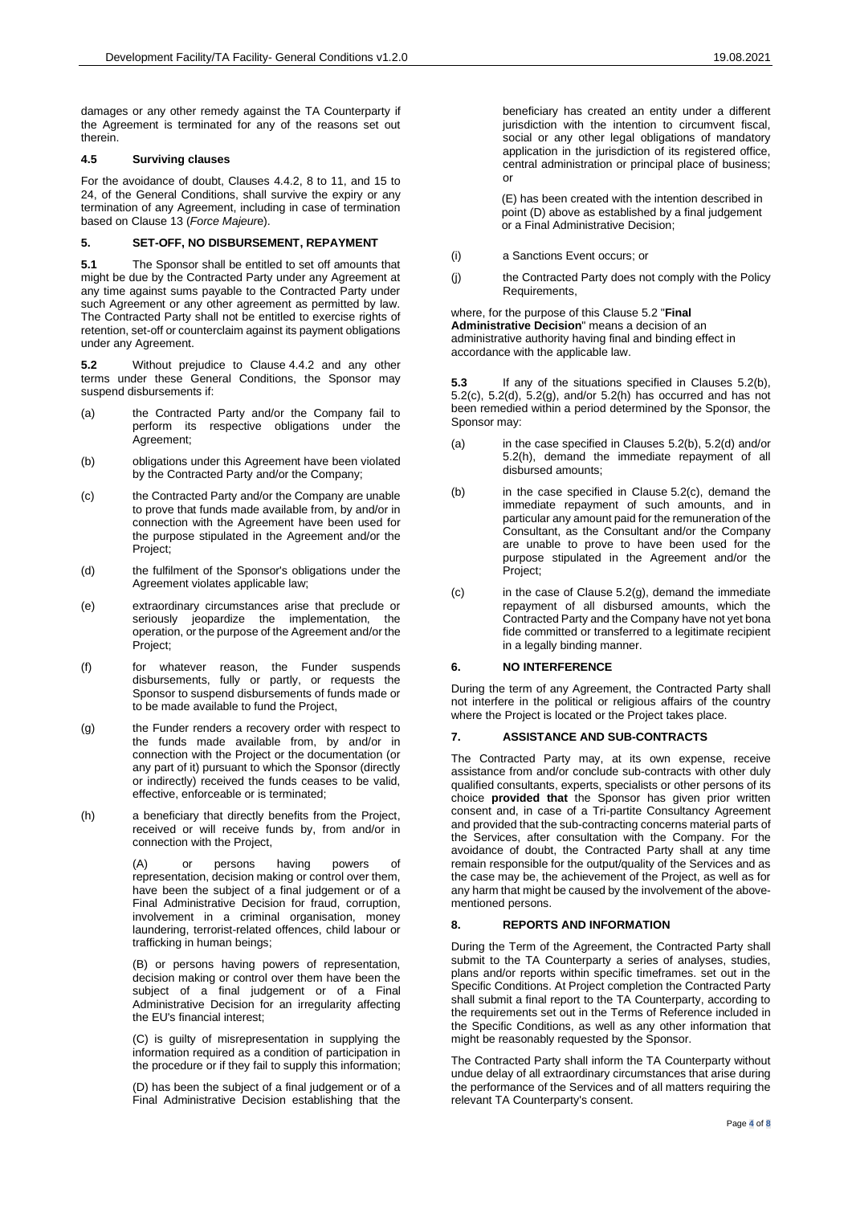damages or any other remedy against the TA Counterparty if the Agreement is terminated for any of the reasons set out therein.

## **4.5 Surviving clauses**

For the avoidance of doubt, Clauses [4.4.2,](#page-2-5) [8](#page-3-1) to [11,](#page-4-0) and [15](#page-4-1) to [24,](#page-6-0) of the General Conditions, shall survive the expiry or any termination of any Agreement, including in case of termination based on Clause [13](#page-4-2) (*Force Majeur*e).

### **5. SET-OFF, NO DISBURSEMENT, REPAYMENT**

**5.1** The Sponsor shall be entitled to set off amounts that might be due by the Contracted Party under any Agreement at any time against sums payable to the Contracted Party under such Agreement or any other agreement as permitted by law. The Contracted Party shall not be entitled to exercise rights of retention, set-off or counterclaim against its payment obligations under any Agreement.

<span id="page-3-2"></span>**5.2** Without prejudice to Clause [4.4.2](#page-2-5) and any other terms under these General Conditions, the Sponsor may suspend disbursements if:

- (a) the Contracted Party and/or the Company fail to perform its respective obligations under the Agreement;
- <span id="page-3-3"></span>(b) obligations under this Agreement have been violated by the Contracted Party and/or the Company;
- <span id="page-3-4"></span>(c) the Contracted Party and/or the Company are unable to prove that funds made available from, by and/or in connection with the Agreement have been used for the purpose stipulated in the Agreement and/or the Project;
- <span id="page-3-5"></span>(d) the fulfilment of the Sponsor's obligations under the Agreement violates applicable law;
- (e) extraordinary circumstances arise that preclude or seriously jeopardize the implementation, the operation, or the purpose of the Agreement and/or the Project;
- (f) for whatever reason, the Funder suspends disbursements, fully or partly, or requests the Sponsor to suspend disbursements of funds made or to be made available to fund the Project,
- <span id="page-3-6"></span>(g) the Funder renders a recovery order with respect to the funds made available from, by and/or in connection with the Project or the documentation (or any part of it) pursuant to which the Sponsor (directly or indirectly) received the funds ceases to be valid, effective, enforceable or is terminated;
- <span id="page-3-7"></span>(h) a beneficiary that directly benefits from the Project, received or will receive funds by, from and/or in connection with the Project,

(A) or persons having powers of representation, decision making or control over them, have been the subject of a final judgement or of a Final Administrative Decision for fraud, corruption, involvement in a criminal organisation, money laundering, terrorist-related offences, child labour or trafficking in human beings;

(B) or persons having powers of representation, decision making or control over them have been the subject of a final judgement or of a Final Administrative Decision for an irregularity affecting the EU's financial interest;

(C) is guilty of misrepresentation in supplying the information required as a condition of participation in the procedure or if they fail to supply this information;

(D) has been the subject of a final judgement or of a Final Administrative Decision establishing that the

beneficiary has created an entity under a different jurisdiction with the intention to circumvent fiscal, social or any other legal obligations of mandatory application in the jurisdiction of its registered office, central administration or principal place of business; or

(E) has been created with the intention described in point (D) above as established by a final judgement or a Final Administrative Decision;

- (i) a Sanctions Event occurs; or
- (j) the Contracted Party does not comply with the Policy Requirements,

where, for the purpose of this Claus[e 5.2](#page-3-2) "**Final Administrative Decision**" means a decision of an administrative authority having final and binding effect in accordance with the applicable law.

**5.3** If any of the situations specified in Clauses [5.2\(b\),](#page-3-3)  [5.2\(c\),](#page-3-4) [5.2\(d\),](#page-3-5) [5.2\(g\),](#page-3-6) and/or [5.2\(h\)](#page-3-7) has occurred and has not been remedied within a period determined by the Sponsor, the Sponsor may:

- (a) in the case specified in Clauses [5.2\(b\),](#page-3-3) [5.2\(d\)](#page-3-5) and/or [5.2\(h\),](#page-3-7) demand the immediate repayment of all disbursed amounts;
- (b) in the case specified in Clause [5.2\(c\),](#page-3-4) demand the immediate repayment of such amounts, and in particular any amount paid for the remuneration of the Consultant, as the Consultant and/or the Company are unable to prove to have been used for the purpose stipulated in the Agreement and/or the Project;
- $(c)$  in the case of Clause [5.2\(g\),](#page-3-6) demand the immediate repayment of all disbursed amounts, which the Contracted Party and the Company have not yet bona fide committed or transferred to a legitimate recipient in a legally binding manner.

# **6. NO INTERFERENCE**

During the term of any Agreement, the Contracted Party shall not interfere in the political or religious affairs of the country where the Project is located or the Project takes place.

## <span id="page-3-0"></span>**7. ASSISTANCE AND SUB-CONTRACTS**

The Contracted Party may, at its own expense, receive assistance from and/or conclude sub-contracts with other duly qualified consultants, experts, specialists or other persons of its choice **provided that** the Sponsor has given prior written consent and, in case of a Tri-partite Consultancy Agreement and provided that the sub-contracting concerns material parts of the Services, after consultation with the Company. For the avoidance of doubt, the Contracted Party shall at any time remain responsible for the output/quality of the Services and as the case may be, the achievement of the Project, as well as for any harm that might be caused by the involvement of the abovementioned persons.

## <span id="page-3-1"></span>**8. REPORTS AND INFORMATION**

During the Term of the Agreement, the Contracted Party shall submit to the TA Counterparty a series of analyses, studies, plans and/or reports within specific timeframes. set out in the Specific Conditions. At Project completion the Contracted Party shall submit a final report to the TA Counterparty, according to the requirements set out in the Terms of Reference included in the Specific Conditions, as well as any other information that might be reasonably requested by the Sponsor.

The Contracted Party shall inform the TA Counterparty without undue delay of all extraordinary circumstances that arise during the performance of the Services and of all matters requiring the relevant TA Counterparty's consent.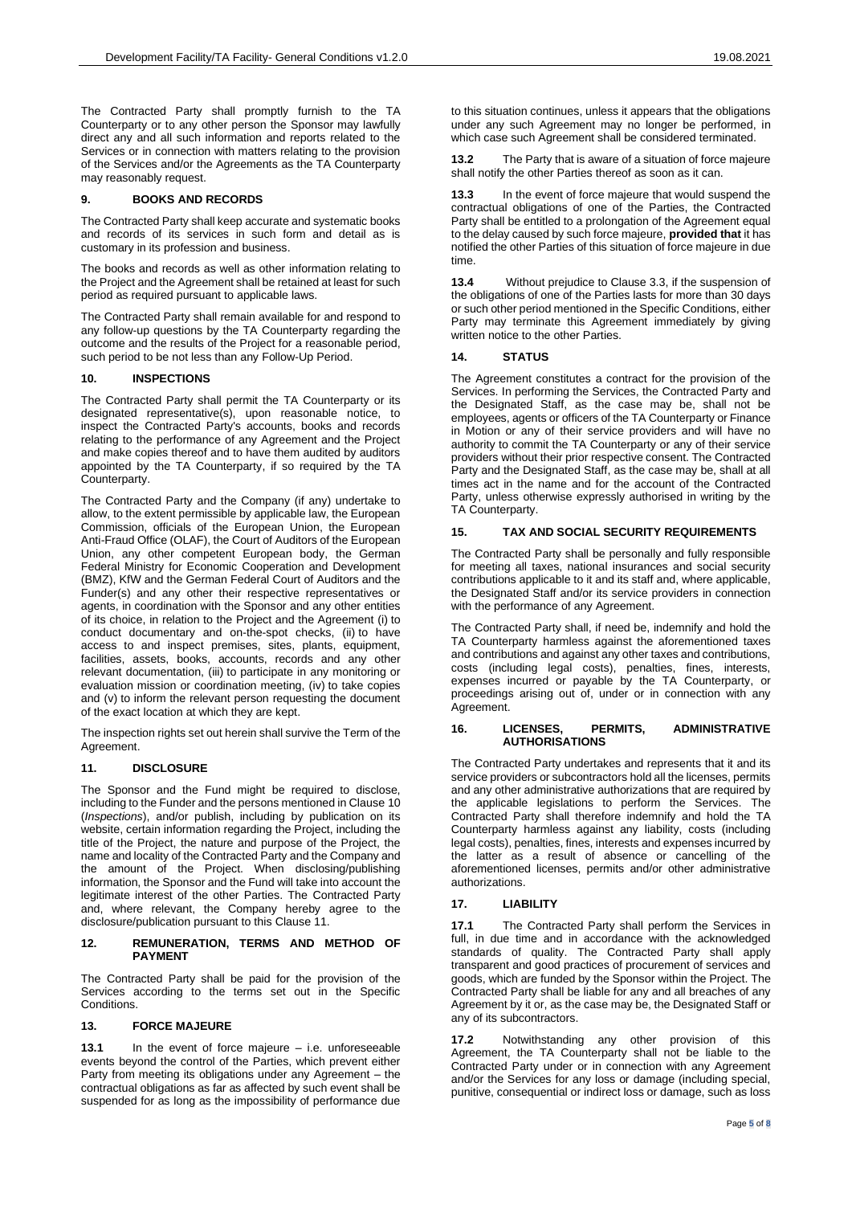The Contracted Party shall promptly furnish to the TA Counterparty or to any other person the Sponsor may lawfully direct any and all such information and reports related to the Services or in connection with matters relating to the provision of the Services and/or the Agreements as the TA Counterparty may reasonably request.

# **9. BOOKS AND RECORDS**

The Contracted Party shall keep accurate and systematic books and records of its services in such form and detail as is customary in its profession and business.

The books and records as well as other information relating to the Project and the Agreement shall be retained at least for such period as required pursuant to applicable laws.

The Contracted Party shall remain available for and respond to any follow-up questions by the TA Counterparty regarding the outcome and the results of the Project for a reasonable period, such period to be not less than any Follow-Up Period.

# <span id="page-4-3"></span>**10. INSPECTIONS**

The Contracted Party shall permit the TA Counterparty or its designated representative(s), upon reasonable notice, to inspect the Contracted Party's accounts, books and records relating to the performance of any Agreement and the Project and make copies thereof and to have them audited by auditors appointed by the TA Counterparty, if so required by the TA Counterparty.

The Contracted Party and the Company (if any) undertake to allow, to the extent permissible by applicable law, the European Commission, officials of the European Union, the European Anti-Fraud Office (OLAF), the Court of Auditors of the European Union, any other competent European body, the German Federal Ministry for Economic Cooperation and Development (BMZ), KfW and the German Federal Court of Auditors and the Funder(s) and any other their respective representatives or agents, in coordination with the Sponsor and any other entities of its choice, in relation to the Project and the Agreement (i) to conduct documentary and on-the-spot checks, (ii) to have access to and inspect premises, sites, plants, equipment, facilities, assets, books, accounts, records and any other relevant documentation, (iii) to participate in any monitoring or evaluation mission or coordination meeting, (iv) to take copies and (v) to inform the relevant person requesting the document of the exact location at which they are kept.

The inspection rights set out herein shall survive the Term of the Agreement.

# <span id="page-4-0"></span>**11. DISCLOSURE**

The Sponsor and the Fund might be required to disclose, including to the Funder and the persons mentioned in Clause [10](#page-4-3) (*Inspections*), and/or publish, including by publication on its website, certain information regarding the Project, including the title of the Project, the nature and purpose of the Project, the name and locality of the Contracted Party and the Company and the amount of the Project. When disclosing/publishing information, the Sponsor and the Fund will take into account the legitimate interest of the other Parties. The Contracted Party and, where relevant, the Company hereby agree to the disclosure/publication pursuant to this Clause [11.](#page-4-0)

#### **12. REMUNERATION, TERMS AND METHOD OF PAYMENT**

The Contracted Party shall be paid for the provision of the Services according to the terms set out in the Specific Conditions.

## <span id="page-4-2"></span>**13. FORCE MAJEURE**

**13.1** In the event of force majeure – i.e. unforeseeable events beyond the control of the Parties, which prevent either Party from meeting its obligations under any Agreement – the contractual obligations as far as affected by such event shall be suspended for as long as the impossibility of performance due to this situation continues, unless it appears that the obligations under any such Agreement may no longer be performed, in which case such Agreement shall be considered terminated.

**13.2** The Party that is aware of a situation of force majeure shall notify the other Parties thereof as soon as it can.

**13.3** In the event of force majeure that would suspend the contractual obligations of one of the Parties, the Contracted Party shall be entitled to a prolongation of the Agreement equal to the delay caused by such force majeure, **provided that** it has notified the other Parties of this situation of force majeure in due time.

**13.4** Without prejudice to Clause [3.3,](#page-2-6) if the suspension of the obligations of one of the Parties lasts for more than 30 days or such other period mentioned in the Specific Conditions, either Party may terminate this Agreement immediately by giving written notice to the other Parties.

# **14. STATUS**

The Agreement constitutes a contract for the provision of the Services. In performing the Services, the Contracted Party and the Designated Staff, as the case may be, shall not be employees, agents or officers of the TA Counterparty or Finance in Motion or any of their service providers and will have no authority to commit the TA Counterparty or any of their service providers without their prior respective consent. The Contracted Party and the Designated Staff, as the case may be, shall at all times act in the name and for the account of the Contracted Party, unless otherwise expressly authorised in writing by the TA Counterparty.

# <span id="page-4-1"></span>**15. TAX AND SOCIAL SECURITY REQUIREMENTS**

The Contracted Party shall be personally and fully responsible for meeting all taxes, national insurances and social security contributions applicable to it and its staff and, where applicable, the Designated Staff and/or its service providers in connection with the performance of any Agreement.

The Contracted Party shall, if need be, indemnify and hold the TA Counterparty harmless against the aforementioned taxes and contributions and against any other taxes and contributions, costs (including legal costs), penalties, fines, interests, expenses incurred or payable by the TA Counterparty, or proceedings arising out of, under or in connection with any Agreement.

## **16. LICENSES, PERMITS, ADMINISTRATIVE AUTHORISATIONS**

The Contracted Party undertakes and represents that it and its service providers or subcontractors hold all the licenses, permits and any other administrative authorizations that are required by the applicable legislations to perform the Services. The Contracted Party shall therefore indemnify and hold the TA Counterparty harmless against any liability, costs (including legal costs), penalties, fines, interests and expenses incurred by the latter as a result of absence or cancelling of the aforementioned licenses, permits and/or other administrative authorizations.

### **17. LIABILITY**

**17.1** The Contracted Party shall perform the Services in full, in due time and in accordance with the acknowledged standards of quality. The Contracted Party shall apply transparent and good practices of procurement of services and goods, which are funded by the Sponsor within the Project. The Contracted Party shall be liable for any and all breaches of any Agreement by it or, as the case may be, the Designated Staff or any of its subcontractors.

**17.2** Notwithstanding any other provision of this Agreement, the TA Counterparty shall not be liable to the Contracted Party under or in connection with any Agreement and/or the Services for any loss or damage (including special, punitive, consequential or indirect loss or damage, such as loss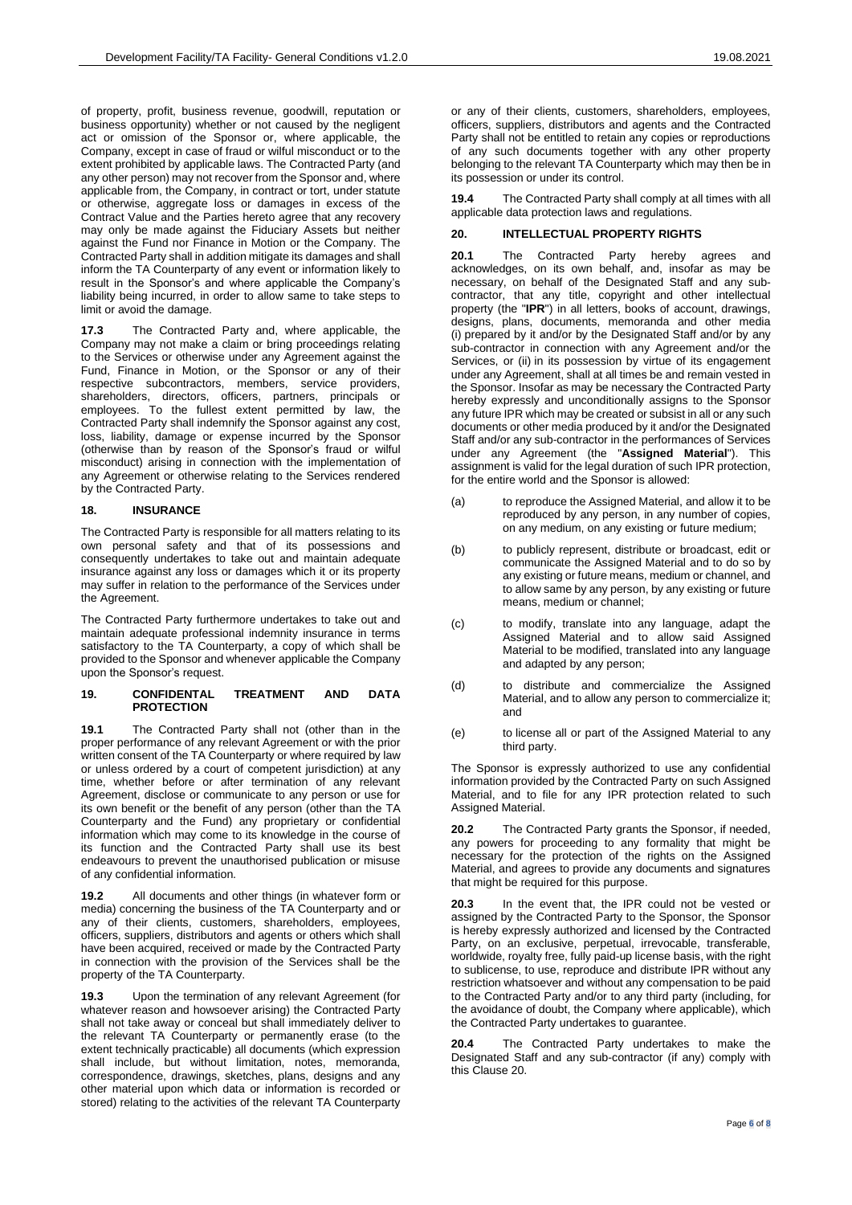of property, profit, business revenue, goodwill, reputation or business opportunity) whether or not caused by the negligent act or omission of the Sponsor or, where applicable, the Company, except in case of fraud or wilful misconduct or to the extent prohibited by applicable laws. The Contracted Party (and any other person) may not recover from the Sponsor and, where applicable from, the Company, in contract or tort, under statute or otherwise, aggregate loss or damages in excess of the Contract Value and the Parties hereto agree that any recovery may only be made against the Fiduciary Assets but neither against the Fund nor Finance in Motion or the Company. The Contracted Party shall in addition mitigate its damages and shall inform the TA Counterparty of any event or information likely to result in the Sponsor's and where applicable the Company's liability being incurred, in order to allow same to take steps to limit or avoid the damage.

**17.3** The Contracted Party and, where applicable, the Company may not make a claim or bring proceedings relating to the Services or otherwise under any Agreement against the Fund, Finance in Motion, or the Sponsor or any of their respective subcontractors, members, service providers, shareholders, directors, officers, partners, principals or employees. To the fullest extent permitted by law, the Contracted Party shall indemnify the Sponsor against any cost, loss, liability, damage or expense incurred by the Sponsor (otherwise than by reason of the Sponsor's fraud or wilful misconduct) arising in connection with the implementation of any Agreement or otherwise relating to the Services rendered by the Contracted Party.

# **18. INSURANCE**

The Contracted Party is responsible for all matters relating to its own personal safety and that of its possessions and consequently undertakes to take out and maintain adequate insurance against any loss or damages which it or its property may suffer in relation to the performance of the Services under the Agreement.

The Contracted Party furthermore undertakes to take out and maintain adequate professional indemnity insurance in terms satisfactory to the TA Counterparty, a copy of which shall be provided to the Sponsor and whenever applicable the Company upon the Sponsor's request.

### **19. CONFIDENTAL TREATMENT AND DATA PROTECTION**

**19.1** The Contracted Party shall not (other than in the proper performance of any relevant Agreement or with the prior written consent of the TA Counterparty or where required by law or unless ordered by a court of competent jurisdiction) at any time, whether before or after termination of any relevant Agreement, disclose or communicate to any person or use for its own benefit or the benefit of any person (other than the TA Counterparty and the Fund) any proprietary or confidential information which may come to its knowledge in the course of its function and the Contracted Party shall use its best endeavours to prevent the unauthorised publication or misuse of any confidential information.

**19.2** All documents and other things (in whatever form or media) concerning the business of the TA Counterparty and or any of their clients, customers, shareholders, employees, officers, suppliers, distributors and agents or others which shall have been acquired, received or made by the Contracted Party in connection with the provision of the Services shall be the property of the TA Counterparty.

**19.3** Upon the termination of any relevant Agreement (for whatever reason and howsoever arising) the Contracted Party shall not take away or conceal but shall immediately deliver to the relevant TA Counterparty or permanently erase (to the extent technically practicable) all documents (which expression shall include, but without limitation, notes, memoranda, correspondence, drawings, sketches, plans, designs and any other material upon which data or information is recorded or stored) relating to the activities of the relevant TA Counterparty

or any of their clients, customers, shareholders, employees, officers, suppliers, distributors and agents and the Contracted Party shall not be entitled to retain any copies or reproductions of any such documents together with any other property belonging to the relevant TA Counterparty which may then be in its possession or under its control.

**19.4** The Contracted Party shall comply at all times with all applicable data protection laws and regulations.

# <span id="page-5-0"></span>**20. INTELLECTUAL PROPERTY RIGHTS**

**20.1** The Contracted Party hereby agrees and acknowledges, on its own behalf, and, insofar as may be necessary, on behalf of the Designated Staff and any subcontractor, that any title, copyright and other intellectual property (the "**IPR**") in all letters, books of account, drawings, designs, plans, documents, memoranda and other media (i) prepared by it and/or by the Designated Staff and/or by any sub-contractor in connection with any Agreement and/or the Services, or (ii) in its possession by virtue of its engagement under any Agreement, shall at all times be and remain vested in the Sponsor. Insofar as may be necessary the Contracted Party hereby expressly and unconditionally assigns to the Sponsor any future IPR which may be created or subsist in all or any such documents or other media produced by it and/or the Designated Staff and/or any sub-contractor in the performances of Services under any Agreement (the "**Assigned Material**"). This assignment is valid for the legal duration of such IPR protection, for the entire world and the Sponsor is allowed:

- (a) to reproduce the Assigned Material, and allow it to be reproduced by any person, in any number of copies. on any medium, on any existing or future medium;
- (b) to publicly represent, distribute or broadcast, edit or communicate the Assigned Material and to do so by any existing or future means, medium or channel, and to allow same by any person, by any existing or future means, medium or channel;
- (c) to modify, translate into any language, adapt the Assigned Material and to allow said Assigned Material to be modified, translated into any language and adapted by any person;
- (d) to distribute and commercialize the Assigned Material, and to allow any person to commercialize it; and
- (e) to license all or part of the Assigned Material to any third party.

The Sponsor is expressly authorized to use any confidential information provided by the Contracted Party on such Assigned Material, and to file for any IPR protection related to such Assigned Material.

**20.2** The Contracted Party grants the Sponsor, if needed, any powers for proceeding to any formality that might be necessary for the protection of the rights on the Assigned Material, and agrees to provide any documents and signatures that might be required for this purpose.

**20.3** In the event that, the IPR could not be vested or assigned by the Contracted Party to the Sponsor, the Sponsor is hereby expressly authorized and licensed by the Contracted Party, on an exclusive, perpetual, irrevocable, transferable, worldwide, royalty free, fully paid-up license basis, with the right to sublicense, to use, reproduce and distribute IPR without any restriction whatsoever and without any compensation to be paid to the Contracted Party and/or to any third party (including, for the avoidance of doubt, the Company where applicable), which the Contracted Party undertakes to guarantee.

**20.4** The Contracted Party undertakes to make the Designated Staff and any sub-contractor (if any) comply with this Clause [20.](#page-5-0)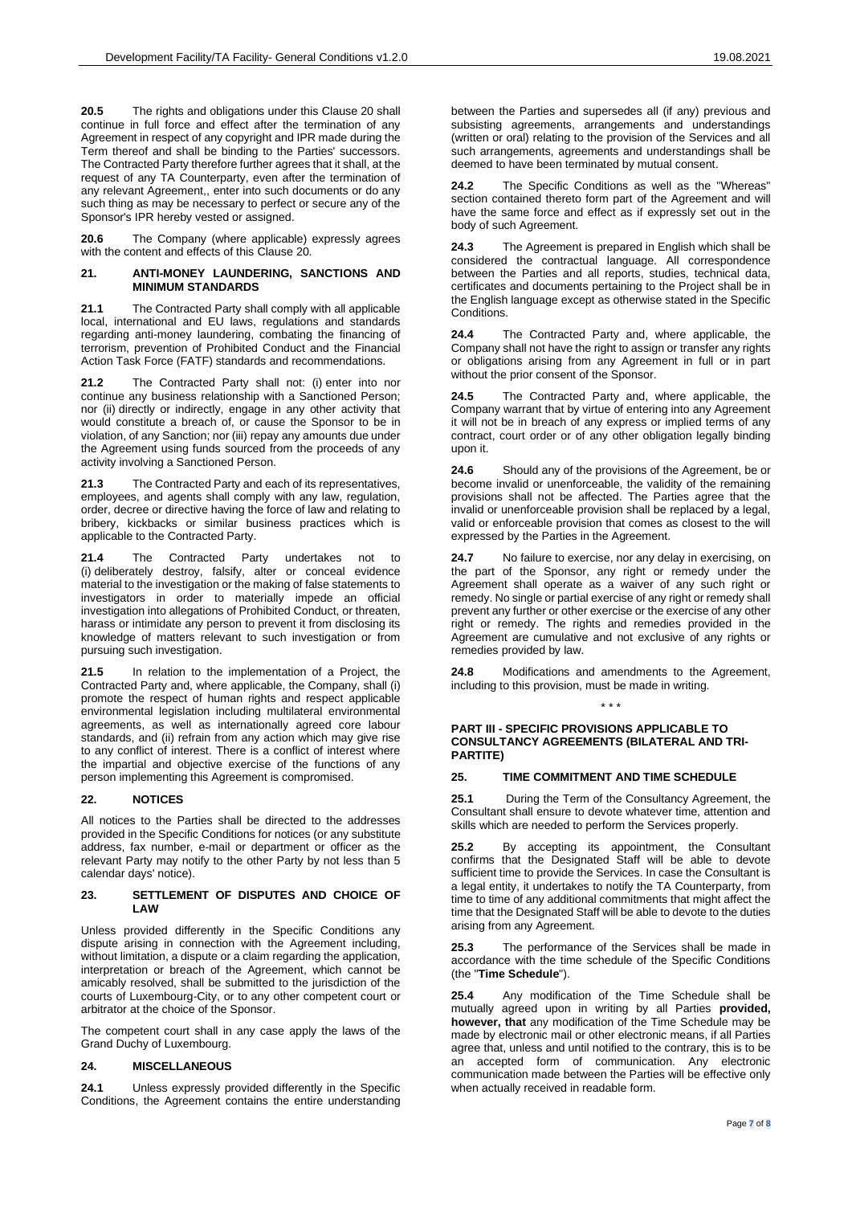**20.5** The rights and obligations under this Clause [20](#page-5-0) shall continue in full force and effect after the termination of any Agreement in respect of any copyright and IPR made during the Term thereof and shall be binding to the Parties' successors. The Contracted Party therefore further agrees that it shall, at the request of any TA Counterparty, even after the termination of any relevant Agreement,, enter into such documents or do any such thing as may be necessary to perfect or secure any of the Sponsor's IPR hereby vested or assigned.

**20.6** The Company (where applicable) expressly agrees with the content and effects of this Clause [20.](#page-5-0)

### **21. ANTI-MONEY LAUNDERING, SANCTIONS AND MINIMUM STANDARDS**

**21.1** The Contracted Party shall comply with all applicable local, international and EU laws, regulations and standards regarding anti-money laundering, combating the financing of terrorism, prevention of Prohibited Conduct and the Financial Action Task Force (FATF) standards and recommendations.

**21.2** The Contracted Party shall not: (i) enter into nor continue any business relationship with a Sanctioned Person; nor (ii) directly or indirectly, engage in any other activity that would constitute a breach of, or cause the Sponsor to be in violation, of any Sanction; nor (iii) repay any amounts due under the Agreement using funds sourced from the proceeds of any activity involving a Sanctioned Person.

**21.3** The Contracted Party and each of its representatives, employees, and agents shall comply with any law, regulation, order, decree or directive having the force of law and relating to bribery, kickbacks or similar business practices which is applicable to the Contracted Party.

**21.4** The Contracted Party undertakes not to (i) deliberately destroy, falsify, alter or conceal evidence material to the investigation or the making of false statements to investigators in order to materially impede an official investigation into allegations of Prohibited Conduct, or threaten, harass or intimidate any person to prevent it from disclosing its knowledge of matters relevant to such investigation or from pursuing such investigation.

**21.5** In relation to the implementation of a Project, the Contracted Party and, where applicable, the Company, shall (i) promote the respect of human rights and respect applicable environmental legislation including multilateral environmental agreements, as well as internationally agreed core labour standards, and (ii) refrain from any action which may give rise to any conflict of interest. There is a conflict of interest where the impartial and objective exercise of the functions of any person implementing this Agreement is compromised.

### **22. NOTICES**

All notices to the Parties shall be directed to the addresses provided in the Specific Conditions for notices (or any substitute address, fax number, e-mail or department or officer as the relevant Party may notify to the other Party by not less than 5 calendar days' notice).

### **23. SETTLEMENT OF DISPUTES AND CHOICE OF LAW**

Unless provided differently in the Specific Conditions any dispute arising in connection with the Agreement including, without limitation, a dispute or a claim regarding the application. interpretation or breach of the Agreement, which cannot be amicably resolved, shall be submitted to the jurisdiction of the courts of Luxembourg-City, or to any other competent court or arbitrator at the choice of the Sponsor.

The competent court shall in any case apply the laws of the Grand Duchy of Luxembourg.

### <span id="page-6-0"></span>**24. MISCELLANEOUS**

**24.1** Unless expressly provided differently in the Specific Conditions, the Agreement contains the entire understanding

between the Parties and supersedes all (if any) previous and subsisting agreements, arrangements and understandings (written or oral) relating to the provision of the Services and all such arrangements, agreements and understandings shall be deemed to have been terminated by mutual consent.

**24.2** The Specific Conditions as well as the "Whereas" section contained thereto form part of the Agreement and will have the same force and effect as if expressly set out in the body of such Agreement.

**24.3** The Agreement is prepared in English which shall be considered the contractual language. All correspondence between the Parties and all reports, studies, technical data, certificates and documents pertaining to the Project shall be in the English language except as otherwise stated in the Specific Conditions.

**24.4** The Contracted Party and, where applicable, the Company shall not have the right to assign or transfer any rights or obligations arising from any Agreement in full or in part without the prior consent of the Sponsor.

**24.5** The Contracted Party and, where applicable, the Company warrant that by virtue of entering into any Agreement it will not be in breach of any express or implied terms of any contract, court order or of any other obligation legally binding upon it.

**24.6** Should any of the provisions of the Agreement, be or become invalid or unenforceable, the validity of the remaining provisions shall not be affected. The Parties agree that the invalid or unenforceable provision shall be replaced by a legal, valid or enforceable provision that comes as closest to the will expressed by the Parties in the Agreement.

**24.7** No failure to exercise, nor any delay in exercising, on the part of the Sponsor, any right or remedy under the Agreement shall operate as a waiver of any such right or remedy. No single or partial exercise of any right or remedy shall prevent any further or other exercise or the exercise of any other right or remedy. The rights and remedies provided in the Agreement are cumulative and not exclusive of any rights or remedies provided by law.

**24.8** Modifications and amendments to the Agreement, including to this provision, must be made in writing.

\* \* \*

## **PART III - SPECIFIC PROVISIONS APPLICABLE TO CONSULTANCY AGREEMENTS (BILATERAL AND TRI-PARTITE)**

# **25. TIME COMMITMENT AND TIME SCHEDULE**

**25.1** During the Term of the Consultancy Agreement, the Consultant shall ensure to devote whatever time, attention and skills which are needed to perform the Services properly.

**25.2** By accepting its appointment, the Consultant confirms that the Designated Staff will be able to devote sufficient time to provide the Services. In case the Consultant is a legal entity, it undertakes to notify the TA Counterparty, from time to time of any additional commitments that might affect the time that the Designated Staff will be able to devote to the duties arising from any Agreement.

**25.3** The performance of the Services shall be made in accordance with the time schedule of the Specific Conditions (the "**Time Schedule**").

**25.4** Any modification of the Time Schedule shall be mutually agreed upon in writing by all Parties **provided, however, that** any modification of the Time Schedule may be made by electronic mail or other electronic means, if all Parties agree that, unless and until notified to the contrary, this is to be an accepted form of communication. Any electronic communication made between the Parties will be effective only when actually received in readable form.